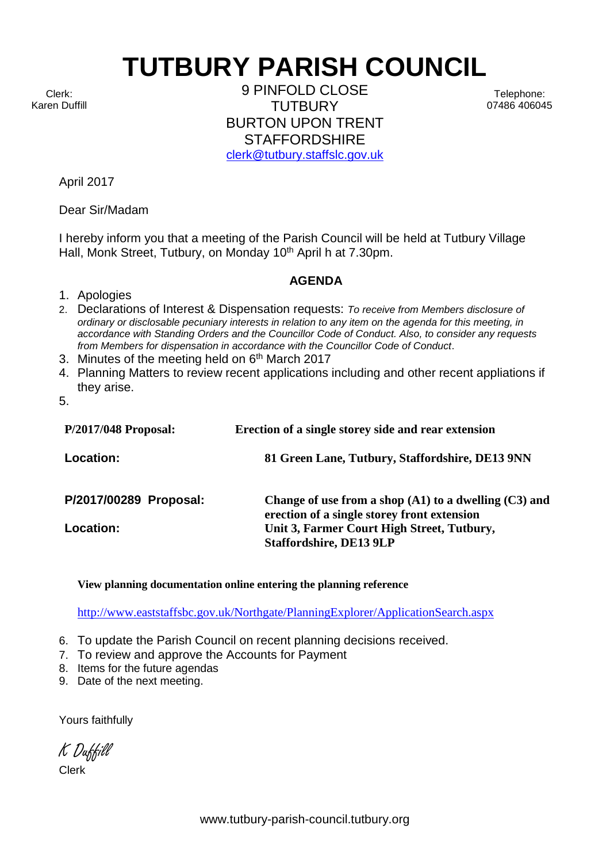**TUTBURY PARISH COUNCIL**

Clerk: Karen Duffill

9 PINFOLD CLOSE TUTBURY BURTON UPON TRENT **STAFFORDSHIRE** [clerk@tutbury.staffslc.gov.uk](mailto:clerk@tutbury.staffslc.gov.uk)

Telephone: 07486 406045

April 2017

Dear Sir/Madam

I hereby inform you that a meeting of the Parish Council will be held at Tutbury Village Hall, Monk Street, Tutbury, on Monday 10<sup>th</sup> April h at 7.30pm.

## **AGENDA**

- 1. Apologies
- 2. Declarations of Interest & Dispensation requests: *To receive from Members disclosure of ordinary or disclosable pecuniary interests in relation to any item on the agenda for this meeting, in accordance with Standing Orders and the Councillor Code of Conduct. Also, to consider any requests from Members for dispensation in accordance with the Councillor Code of Conduct*.
- 3. Minutes of the meeting held on 6<sup>th</sup> March 2017
- 4. Planning Matters to review recent applications including and other recent appliations if they arise.
- 5.

| P/2017/048 Proposal:   | Erection of a single storey side and rear extension                                                      |
|------------------------|----------------------------------------------------------------------------------------------------------|
| <b>Location:</b>       | 81 Green Lane, Tutbury, Staffordshire, DE13 9NN                                                          |
| P/2017/00289 Proposal: | Change of use from a shop $(A1)$ to a dwelling $(C3)$ and<br>erection of a single storey front extension |
| <b>Location:</b>       | Unit 3, Farmer Court High Street, Tutbury,<br><b>Staffordshire, DE13 9LP</b>                             |

**View planning documentation online entering the planning reference** 

<http://www.eaststaffsbc.gov.uk/Northgate/PlanningExplorer/ApplicationSearch.aspx>

- 6. To update the Parish Council on recent planning decisions received.
- 7. To review and approve the Accounts for Payment
- 8. Items for the future agendas
- 9. Date of the next meeting.

Yours faithfully

K Duffill

Clerk